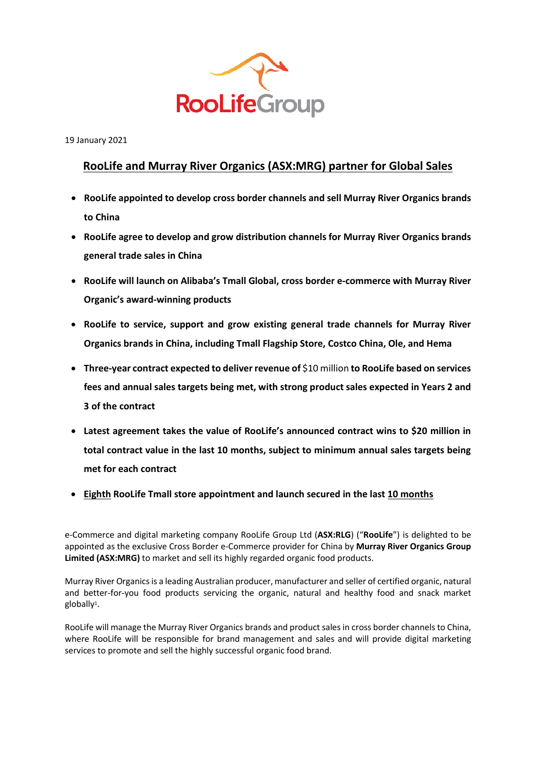

19 January 2021

# **RooLife and Murray River Organics (ASX:MRG) partner for Global Sales**

- **RooLife appointed to develop cross border channels and sell Murray River Organics brands to China**
- **RooLife agree to develop and grow distribution channels for Murray River Organics brands general trade sales in China**
- **RooLife will launch on Alibaba's Tmall Global, cross border e-commerce with Murray River Organic's award-winning products**
- **RooLife to service, support and grow existing general trade channels for Murray River Organics brands in China, including Tmall Flagship Store, Costco China, Ole, and Hema**
- **Three-year contract expected to deliver revenue of** \$10 million **to RooLife based on services fees and annual sales targets being met, with strong product sales expected in Years 2 and 3 of the contract**
- **Latest agreement takes the value of RooLife's announced contract wins to \$20 million in total contract value in the last 10 months, subject to minimum annual sales targets being met for each contract**
- **Eighth RooLife Tmall store appointment and launch secured in the last 10 months**

e-Commerce and digital marketing company RooLife Group Ltd (**ASX:RLG**) ("**RooLife**") is delighted to be appointed as the exclusive Cross Border e-Commerce provider for China by **Murray River Organics Group Limited (ASX:MRG)** to market and sell its highly regarded organic food products.

Murray River Organicsis a leading Australian producer, manufacturer and seller of certified organic, natural and better-for-you food products servicing the organic, natural and healthy food and snack market globally<sup>1</sup>.

RooLife will manage the Murray River Organics brands and product sales in cross border channelsto China, where RooLife will be responsible for brand management and sales and will provide digital marketing services to promote and sell the highly successful organic food brand.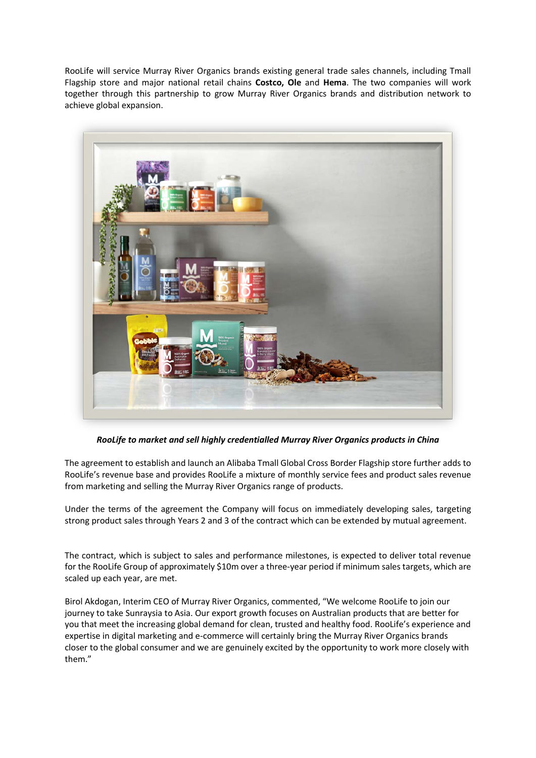RooLife will service Murray River Organics brands existing general trade sales channels, including Tmall Flagship store and major national retail chains **Costco, Ole** and **Hema**. The two companies will work together through this partnership to grow Murray River Organics brands and distribution network to achieve global expansion.



*RooLife to market and sell highly credentialled Murray River Organics products in China*

The agreement to establish and launch an Alibaba Tmall Global Cross Border Flagship store further adds to RooLife's revenue base and provides RooLife a mixture of monthly service fees and product sales revenue from marketing and selling the Murray River Organics range of products.

Under the terms of the agreement the Company will focus on immediately developing sales, targeting strong product sales through Years 2 and 3 of the contract which can be extended by mutual agreement.

The contract, which is subject to sales and performance milestones, is expected to deliver total revenue for the RooLife Group of approximately \$10m over a three-year period if minimum sales targets, which are scaled up each year, are met.

Birol Akdogan, Interim CEO of Murray River Organics, commented, "We welcome RooLife to join our journey to take Sunraysia to Asia. Our export growth focuses on Australian products that are better for you that meet the increasing global demand for clean, trusted and healthy food. RooLife's experience and expertise in digital marketing and e-commerce will certainly bring the Murray River Organics brands closer to the global consumer and we are genuinely excited by the opportunity to work more closely with them."